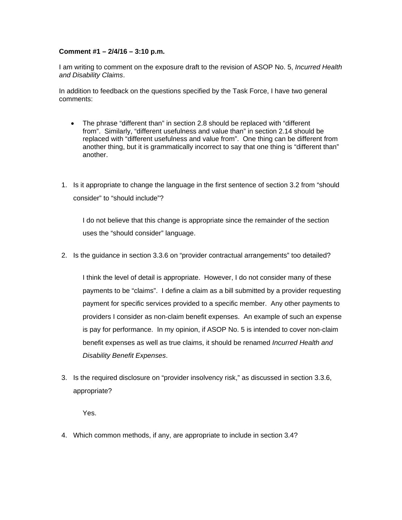## **Comment #1 – 2/4/16 – 3:10 p.m.**

I am writing to comment on the exposure draft to the revision of ASOP No. 5, *Incurred Health and Disability Claims*.

In addition to feedback on the questions specified by the Task Force, I have two general comments:

- The phrase "different than" in section 2.8 should be replaced with "different from". Similarly, "different usefulness and value than" in section 2.14 should be replaced with "different usefulness and value from". One thing can be different from another thing, but it is grammatically incorrect to say that one thing is "different than" another.
- 1. Is it appropriate to change the language in the first sentence of section 3.2 from "should consider" to "should include"?

I do not believe that this change is appropriate since the remainder of the section uses the "should consider" language.

2. Is the guidance in section 3.3.6 on "provider contractual arrangements" too detailed?

I think the level of detail is appropriate. However, I do not consider many of these payments to be "claims". I define a claim as a bill submitted by a provider requesting payment for specific services provided to a specific member. Any other payments to providers I consider as non-claim benefit expenses. An example of such an expense is pay for performance. In my opinion, if ASOP No. 5 is intended to cover non-claim benefit expenses as well as true claims, it should be renamed *Incurred Health and Disability Benefit Expenses*.

3. Is the required disclosure on "provider insolvency risk," as discussed in section 3.3.6, appropriate?

Yes.

4. Which common methods, if any, are appropriate to include in section 3.4?